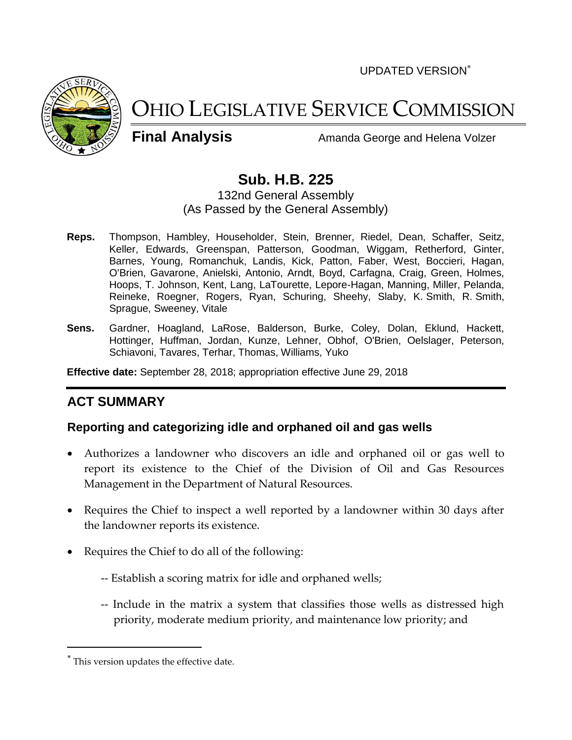UPDATED VERSION



# OHIO LEGISLATIVE SERVICE COMMISSION

**Final Analysis** Amanda George and Helena Volzer

# **Sub. H.B. 225**

132nd General Assembly (As Passed by the General Assembly)

- **Reps.** Thompson, Hambley, Householder, Stein, Brenner, Riedel, Dean, Schaffer, Seitz, Keller, Edwards, Greenspan, Patterson, Goodman, Wiggam, Retherford, Ginter, Barnes, Young, Romanchuk, Landis, Kick, Patton, Faber, West, Boccieri, Hagan, O'Brien, Gavarone, Anielski, Antonio, Arndt, Boyd, Carfagna, Craig, Green, Holmes, Hoops, T. Johnson, Kent, Lang, LaTourette, Lepore-Hagan, Manning, Miller, Pelanda, Reineke, Roegner, Rogers, Ryan, Schuring, Sheehy, Slaby, K. Smith, R. Smith, Sprague, Sweeney, Vitale
- **Sens.** Gardner, Hoagland, LaRose, Balderson, Burke, Coley, Dolan, Eklund, Hackett, Hottinger, Huffman, Jordan, Kunze, Lehner, Obhof, O'Brien, Oelslager, Peterson, Schiavoni, Tavares, Terhar, Thomas, Williams, Yuko

**Effective date:** September 28, 2018; appropriation effective June 29, 2018

## **ACT SUMMARY**

## **Reporting and categorizing idle and orphaned oil and gas wells**

- Authorizes a landowner who discovers an idle and orphaned oil or gas well to report its existence to the Chief of the Division of Oil and Gas Resources Management in the Department of Natural Resources.
- Requires the Chief to inspect a well reported by a landowner within 30 days after the landowner reports its existence.
- Requires the Chief to do all of the following:
	- -- Establish a scoring matrix for idle and orphaned wells;
	- -- Include in the matrix a system that classifies those wells as distressed high priority, moderate medium priority, and maintenance low priority; and

This version updates the effective date.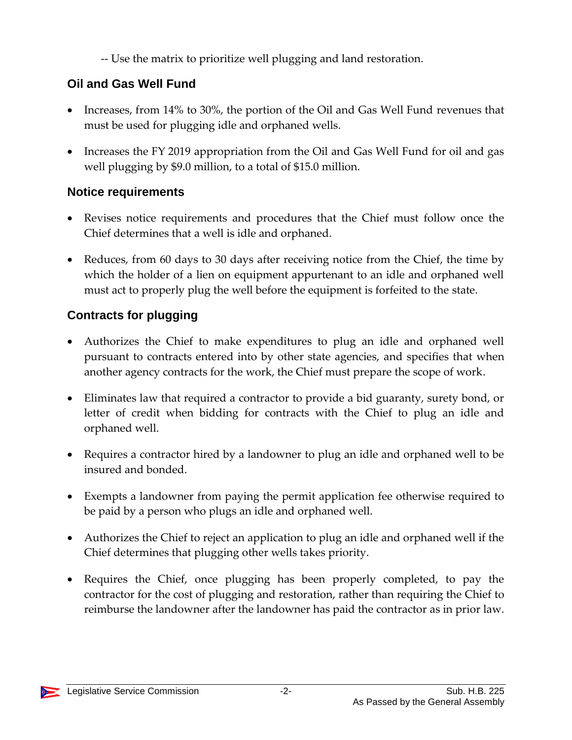-- Use the matrix to prioritize well plugging and land restoration.

# **Oil and Gas Well Fund**

- Increases, from 14% to 30%, the portion of the Oil and Gas Well Fund revenues that must be used for plugging idle and orphaned wells.
- Increases the FY 2019 appropriation from the Oil and Gas Well Fund for oil and gas well plugging by \$9.0 million, to a total of \$15.0 million.

# **Notice requirements**

- Revises notice requirements and procedures that the Chief must follow once the Chief determines that a well is idle and orphaned.
- Reduces, from 60 days to 30 days after receiving notice from the Chief, the time by which the holder of a lien on equipment appurtenant to an idle and orphaned well must act to properly plug the well before the equipment is forfeited to the state.

# **Contracts for plugging**

- Authorizes the Chief to make expenditures to plug an idle and orphaned well pursuant to contracts entered into by other state agencies, and specifies that when another agency contracts for the work, the Chief must prepare the scope of work.
- Eliminates law that required a contractor to provide a bid guaranty, surety bond, or letter of credit when bidding for contracts with the Chief to plug an idle and orphaned well.
- Requires a contractor hired by a landowner to plug an idle and orphaned well to be insured and bonded.
- Exempts a landowner from paying the permit application fee otherwise required to be paid by a person who plugs an idle and orphaned well.
- Authorizes the Chief to reject an application to plug an idle and orphaned well if the Chief determines that plugging other wells takes priority.
- Requires the Chief, once plugging has been properly completed, to pay the contractor for the cost of plugging and restoration, rather than requiring the Chief to reimburse the landowner after the landowner has paid the contractor as in prior law.

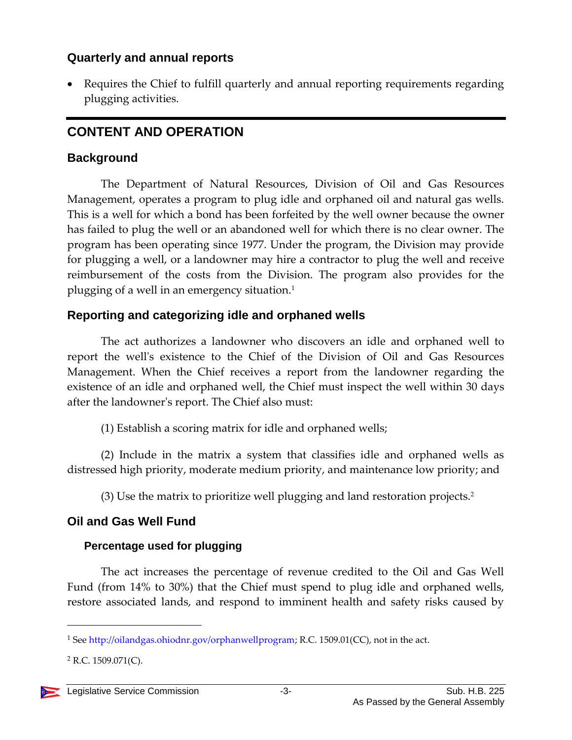## **Quarterly and annual reports**

 Requires the Chief to fulfill quarterly and annual reporting requirements regarding plugging activities.

## **CONTENT AND OPERATION**

#### **Background**

The Department of Natural Resources, Division of Oil and Gas Resources Management, operates a program to plug idle and orphaned oil and natural gas wells. This is a well for which a bond has been forfeited by the well owner because the owner has failed to plug the well or an abandoned well for which there is no clear owner. The program has been operating since 1977. Under the program, the Division may provide for plugging a well, or a landowner may hire a contractor to plug the well and receive reimbursement of the costs from the Division. The program also provides for the plugging of a well in an emergency situation.<sup>1</sup>

## **Reporting and categorizing idle and orphaned wells**

The act authorizes a landowner who discovers an idle and orphaned well to report the well's existence to the Chief of the Division of Oil and Gas Resources Management. When the Chief receives a report from the landowner regarding the existence of an idle and orphaned well, the Chief must inspect the well within 30 days after the landowner's report. The Chief also must:

(1) Establish a scoring matrix for idle and orphaned wells;

(2) Include in the matrix a system that classifies idle and orphaned wells as distressed high priority, moderate medium priority, and maintenance low priority; and

(3) Use the matrix to prioritize well plugging and land restoration projects.<sup>2</sup>

## **Oil and Gas Well Fund**

## **Percentage used for plugging**

The act increases the percentage of revenue credited to the Oil and Gas Well Fund (from 14% to 30%) that the Chief must spend to plug idle and orphaned wells, restore associated lands, and respond to imminent health and safety risks caused by

 $2$  R.C. 1509.071(C).



<sup>1</sup> See [http://oilandgas.ohiodnr.gov/orphanwellprogram;](http://oilandgas.ohiodnr.gov/orphanwellprogram) R.C. 1509.01(CC), not in the act.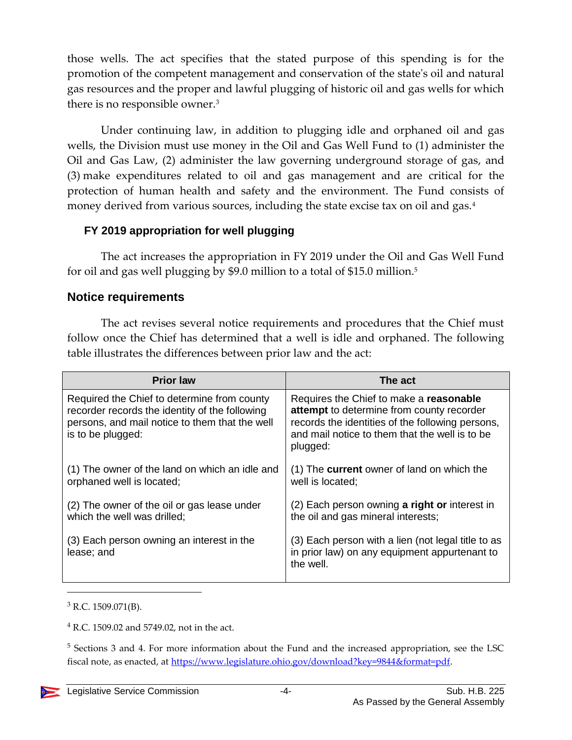those wells. The act specifies that the stated purpose of this spending is for the promotion of the competent management and conservation of the state's oil and natural gas resources and the proper and lawful plugging of historic oil and gas wells for which there is no responsible owner.<sup>3</sup>

Under continuing law, in addition to plugging idle and orphaned oil and gas wells, the Division must use money in the Oil and Gas Well Fund to (1) administer the Oil and Gas Law, (2) administer the law governing underground storage of gas, and (3) make expenditures related to oil and gas management and are critical for the protection of human health and safety and the environment. The Fund consists of money derived from various sources, including the state excise tax on oil and gas.<sup>4</sup>

#### **FY 2019 appropriation for well plugging**

The act increases the appropriation in FY 2019 under the Oil and Gas Well Fund for oil and gas well plugging by \$9.0 million to a total of \$15.0 million.<sup>5</sup>

#### **Notice requirements**

The act revises several notice requirements and procedures that the Chief must follow once the Chief has determined that a well is idle and orphaned. The following table illustrates the differences between prior law and the act:

| <b>Prior law</b>                                                                                                                                                     | The act                                                                                                                                                                                                |  |
|----------------------------------------------------------------------------------------------------------------------------------------------------------------------|--------------------------------------------------------------------------------------------------------------------------------------------------------------------------------------------------------|--|
| Required the Chief to determine from county<br>recorder records the identity of the following<br>persons, and mail notice to them that the well<br>is to be plugged: | Requires the Chief to make a reasonable<br>attempt to determine from county recorder<br>records the identities of the following persons,<br>and mail notice to them that the well is to be<br>plugged: |  |
| (1) The owner of the land on which an idle and<br>orphaned well is located;                                                                                          | (1) The <b>current</b> owner of land on which the<br>well is located;                                                                                                                                  |  |
| (2) The owner of the oil or gas lease under<br>which the well was drilled;                                                                                           | (2) Each person owning a right or interest in<br>the oil and gas mineral interests;                                                                                                                    |  |
| (3) Each person owning an interest in the<br>lease; and                                                                                                              | (3) Each person with a lien (not legal title to as<br>in prior law) on any equipment appurtenant to<br>the well.                                                                                       |  |

 $3$  R.C. 1509.071(B).

<sup>4</sup> R.C. 1509.02 and 5749.02, not in the act.

<sup>5</sup> Sections 3 and 4. For more information about the Fund and the increased appropriation, see the LSC fiscal note, as enacted, at [https://www.legislature.ohio.gov/download?key=9844&format=pdf.](https://www.legislature.ohio.gov/download?key=9844&format=pdf)

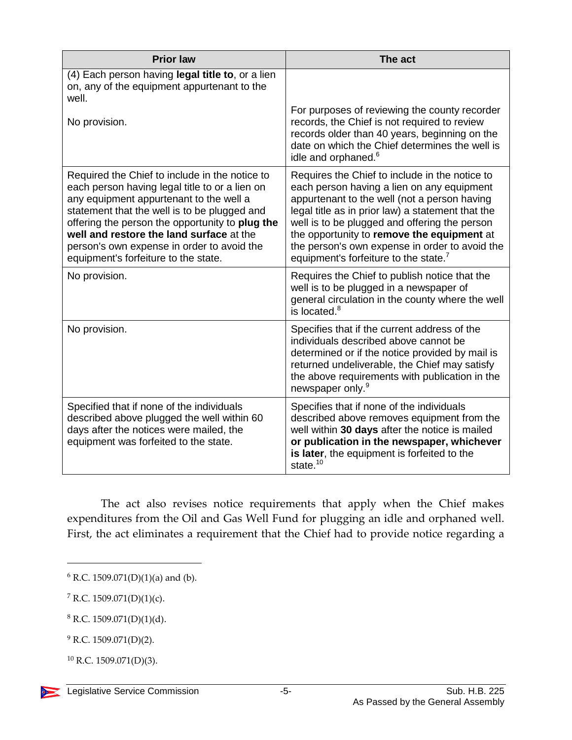| <b>Prior law</b>                                                                                                                                                                                                                                                                                                                                                                 | The act                                                                                                                                                                                                                                                                                                                                                                                                 |  |
|----------------------------------------------------------------------------------------------------------------------------------------------------------------------------------------------------------------------------------------------------------------------------------------------------------------------------------------------------------------------------------|---------------------------------------------------------------------------------------------------------------------------------------------------------------------------------------------------------------------------------------------------------------------------------------------------------------------------------------------------------------------------------------------------------|--|
| (4) Each person having legal title to, or a lien<br>on, any of the equipment appurtenant to the<br>well.                                                                                                                                                                                                                                                                         |                                                                                                                                                                                                                                                                                                                                                                                                         |  |
| No provision.                                                                                                                                                                                                                                                                                                                                                                    | For purposes of reviewing the county recorder<br>records, the Chief is not required to review<br>records older than 40 years, beginning on the<br>date on which the Chief determines the well is<br>idle and orphaned. <sup>6</sup>                                                                                                                                                                     |  |
| Required the Chief to include in the notice to<br>each person having legal title to or a lien on<br>any equipment appurtenant to the well a<br>statement that the well is to be plugged and<br>offering the person the opportunity to plug the<br>well and restore the land surface at the<br>person's own expense in order to avoid the<br>equipment's forfeiture to the state. | Requires the Chief to include in the notice to<br>each person having a lien on any equipment<br>appurtenant to the well (not a person having<br>legal title as in prior law) a statement that the<br>well is to be plugged and offering the person<br>the opportunity to remove the equipment at<br>the person's own expense in order to avoid the<br>equipment's forfeiture to the state. <sup>7</sup> |  |
| No provision.                                                                                                                                                                                                                                                                                                                                                                    | Requires the Chief to publish notice that the<br>well is to be plugged in a newspaper of<br>general circulation in the county where the well<br>is located. <sup>8</sup>                                                                                                                                                                                                                                |  |
| No provision.                                                                                                                                                                                                                                                                                                                                                                    | Specifies that if the current address of the<br>individuals described above cannot be<br>determined or if the notice provided by mail is<br>returned undeliverable, the Chief may satisfy<br>the above requirements with publication in the<br>newspaper only. <sup>9</sup>                                                                                                                             |  |
| Specified that if none of the individuals<br>described above plugged the well within 60<br>days after the notices were mailed, the<br>equipment was forfeited to the state.                                                                                                                                                                                                      | Specifies that if none of the individuals<br>described above removes equipment from the<br>well within 30 days after the notice is mailed<br>or publication in the newspaper, whichever<br>is later, the equipment is forfeited to the<br>state. <sup>10</sup>                                                                                                                                          |  |

The act also revises notice requirements that apply when the Chief makes expenditures from the Oil and Gas Well Fund for plugging an idle and orphaned well. First, the act eliminates a requirement that the Chief had to provide notice regarding a

<sup>7</sup> R.C. 1509.071(D)(1)(c).

 $6$  R.C. 1509.071(D)(1)(a) and (b).

 $8$  R.C. 1509.071(D)(1)(d).

<sup>&</sup>lt;sup>9</sup> R.C. 1509.071(D)(2).

 $10$  R.C. 1509.071(D)(3).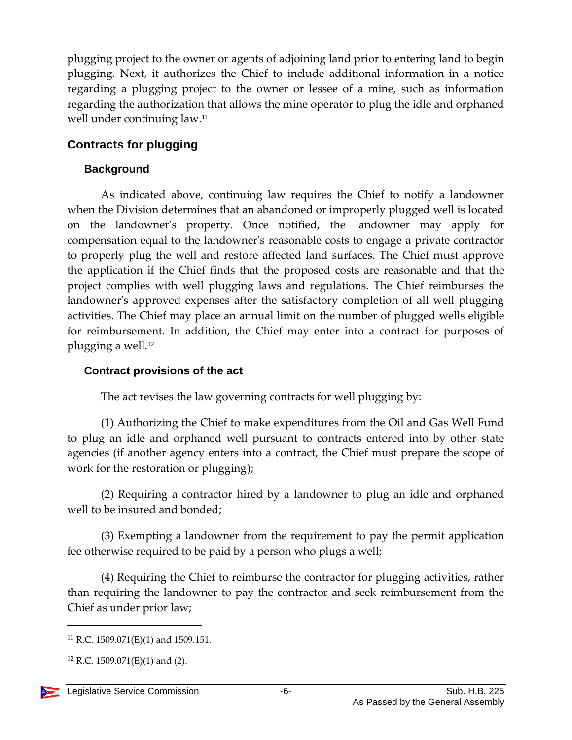plugging project to the owner or agents of adjoining land prior to entering land to begin plugging. Next, it authorizes the Chief to include additional information in a notice regarding a plugging project to the owner or lessee of a mine, such as information regarding the authorization that allows the mine operator to plug the idle and orphaned well under continuing law. 11

## **Contracts for plugging**

#### **Background**

As indicated above, continuing law requires the Chief to notify a landowner when the Division determines that an abandoned or improperly plugged well is located on the landowner's property. Once notified, the landowner may apply for compensation equal to the landowner's reasonable costs to engage a private contractor to properly plug the well and restore affected land surfaces. The Chief must approve the application if the Chief finds that the proposed costs are reasonable and that the project complies with well plugging laws and regulations. The Chief reimburses the landowner's approved expenses after the satisfactory completion of all well plugging activities. The Chief may place an annual limit on the number of plugged wells eligible for reimbursement. In addition, the Chief may enter into a contract for purposes of plugging a well.<sup>12</sup>

#### **Contract provisions of the act**

The act revises the law governing contracts for well plugging by:

(1) Authorizing the Chief to make expenditures from the Oil and Gas Well Fund to plug an idle and orphaned well pursuant to contracts entered into by other state agencies (if another agency enters into a contract, the Chief must prepare the scope of work for the restoration or plugging);

(2) Requiring a contractor hired by a landowner to plug an idle and orphaned well to be insured and bonded;

(3) Exempting a landowner from the requirement to pay the permit application fee otherwise required to be paid by a person who plugs a well;

(4) Requiring the Chief to reimburse the contractor for plugging activities, rather than requiring the landowner to pay the contractor and seek reimbursement from the Chief as under prior law;

 $11$  R.C. 1509.071(E)(1) and 1509.151.

 $12$  R.C. 1509.071(E)(1) and (2).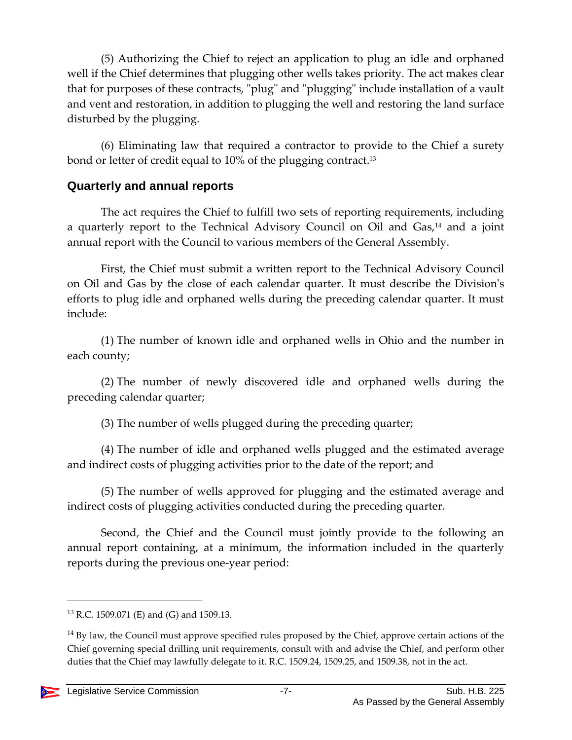(5) Authorizing the Chief to reject an application to plug an idle and orphaned well if the Chief determines that plugging other wells takes priority. The act makes clear that for purposes of these contracts, "plug" and "plugging" include installation of a vault and vent and restoration, in addition to plugging the well and restoring the land surface disturbed by the plugging.

(6) Eliminating law that required a contractor to provide to the Chief a surety bond or letter of credit equal to 10% of the plugging contract. 13

#### **Quarterly and annual reports**

The act requires the Chief to fulfill two sets of reporting requirements, including a quarterly report to the Technical Advisory Council on Oil and Gas,<sup>14</sup> and a joint annual report with the Council to various members of the General Assembly.

First, the Chief must submit a written report to the Technical Advisory Council on Oil and Gas by the close of each calendar quarter. It must describe the Division's efforts to plug idle and orphaned wells during the preceding calendar quarter. It must include:

(1) The number of known idle and orphaned wells in Ohio and the number in each county;

(2) The number of newly discovered idle and orphaned wells during the preceding calendar quarter;

(3) The number of wells plugged during the preceding quarter;

(4) The number of idle and orphaned wells plugged and the estimated average and indirect costs of plugging activities prior to the date of the report; and

(5) The number of wells approved for plugging and the estimated average and indirect costs of plugging activities conducted during the preceding quarter.

Second, the Chief and the Council must jointly provide to the following an annual report containing, at a minimum, the information included in the quarterly reports during the previous one-year period:

<sup>&</sup>lt;sup>14</sup> By law, the Council must approve specified rules proposed by the Chief, approve certain actions of the Chief governing special drilling unit requirements, consult with and advise the Chief, and perform other duties that the Chief may lawfully delegate to it. R.C. 1509.24, 1509.25, and 1509.38, not in the act.



<sup>13</sup> R.C. 1509.071 (E) and (G) and 1509.13.